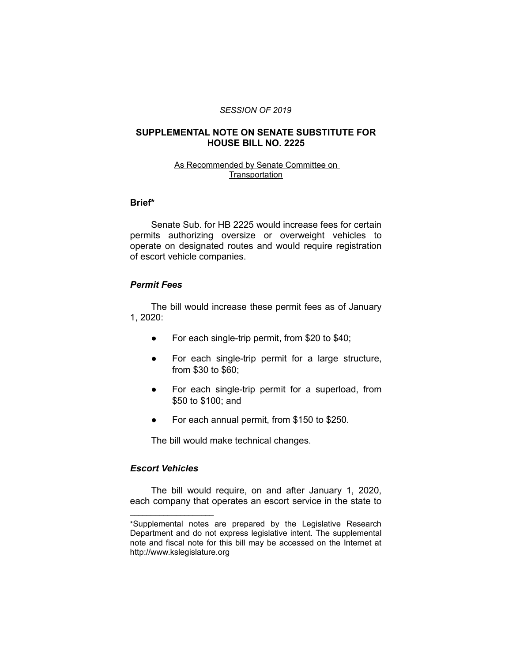#### *SESSION OF 2019*

# **SUPPLEMENTAL NOTE ON SENATE SUBSTITUTE FOR HOUSE BILL NO. 2225**

#### As Recommended by Senate Committee on **Transportation**

## **Brief\***

Senate Sub. for HB 2225 would increase fees for certain permits authorizing oversize or overweight vehicles to operate on designated routes and would require registration of escort vehicle companies.

#### *Permit Fees*

The bill would increase these permit fees as of January 1, 2020:

- For each single-trip permit, from \$20 to \$40;
- For each single-trip permit for a large structure, from \$30 to \$60;
- For each single-trip permit for a superload, from \$50 to \$100; and
- For each annual permit, from \$150 to \$250.

The bill would make technical changes.

# *Escort Vehicles*

 $\overline{\phantom{a}}$  , where  $\overline{\phantom{a}}$  , where  $\overline{\phantom{a}}$ 

The bill would require, on and after January 1, 2020, each company that operates an escort service in the state to

<sup>\*</sup>Supplemental notes are prepared by the Legislative Research Department and do not express legislative intent. The supplemental note and fiscal note for this bill may be accessed on the Internet at http://www.kslegislature.org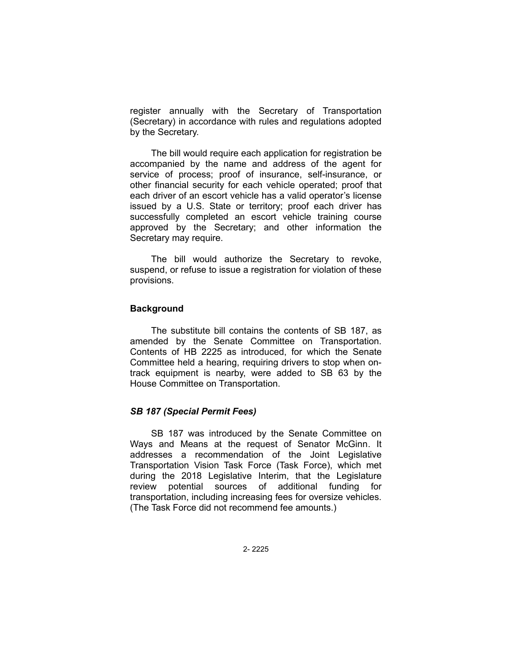register annually with the Secretary of Transportation (Secretary) in accordance with rules and regulations adopted by the Secretary.

The bill would require each application for registration be accompanied by the name and address of the agent for service of process; proof of insurance, self-insurance, or other financial security for each vehicle operated; proof that each driver of an escort vehicle has a valid operator's license issued by a U.S. State or territory; proof each driver has successfully completed an escort vehicle training course approved by the Secretary; and other information the Secretary may require.

The bill would authorize the Secretary to revoke, suspend, or refuse to issue a registration for violation of these provisions.

### **Background**

The substitute bill contains the contents of SB 187, as amended by the Senate Committee on Transportation. Contents of HB 2225 as introduced, for which the Senate Committee held a hearing, requiring drivers to stop when ontrack equipment is nearby, were added to SB 63 by the House Committee on Transportation.

# *SB 187 (Special Permit Fees)*

SB 187 was introduced by the Senate Committee on Ways and Means at the request of Senator McGinn. It addresses a recommendation of the Joint Legislative Transportation Vision Task Force (Task Force), which met during the 2018 Legislative Interim, that the Legislature review potential sources of additional funding for transportation, including increasing fees for oversize vehicles. (The Task Force did not recommend fee amounts.)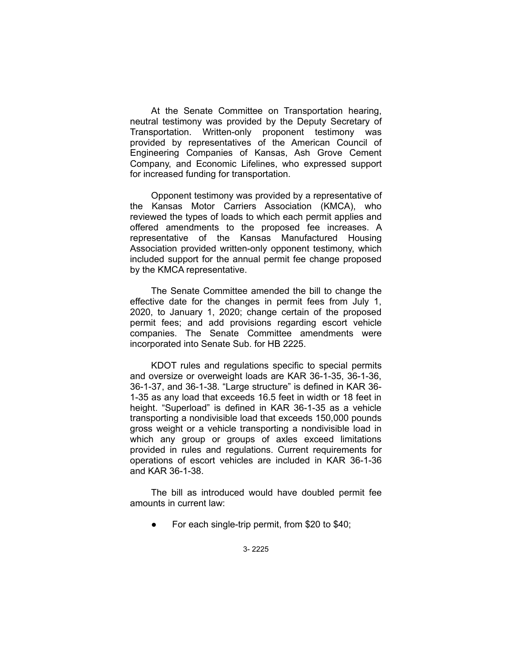At the Senate Committee on Transportation hearing, neutral testimony was provided by the Deputy Secretary of Transportation. Written-only proponent testimony was provided by representatives of the American Council of Engineering Companies of Kansas, Ash Grove Cement Company, and Economic Lifelines, who expressed support for increased funding for transportation.

Opponent testimony was provided by a representative of the Kansas Motor Carriers Association (KMCA), who reviewed the types of loads to which each permit applies and offered amendments to the proposed fee increases. A representative of the Kansas Manufactured Housing Association provided written-only opponent testimony, which included support for the annual permit fee change proposed by the KMCA representative.

The Senate Committee amended the bill to change the effective date for the changes in permit fees from July 1, 2020, to January 1, 2020; change certain of the proposed permit fees; and add provisions regarding escort vehicle companies. The Senate Committee amendments were incorporated into Senate Sub. for HB 2225.

KDOT rules and regulations specific to special permits and oversize or overweight loads are KAR 36-1-35, 36-1-36, 36-1-37, and 36-1-38. "Large structure" is defined in KAR 36- 1-35 as any load that exceeds 16.5 feet in width or 18 feet in height. "Superload" is defined in KAR 36-1-35 as a vehicle transporting a nondivisible load that exceeds 150,000 pounds gross weight or a vehicle transporting a nondivisible load in which any group or groups of axles exceed limitations provided in rules and regulations. Current requirements for operations of escort vehicles are included in KAR 36-1-36 and KAR 36-1-38.

The bill as introduced would have doubled permit fee amounts in current law:

● For each single-trip permit, from \$20 to \$40;